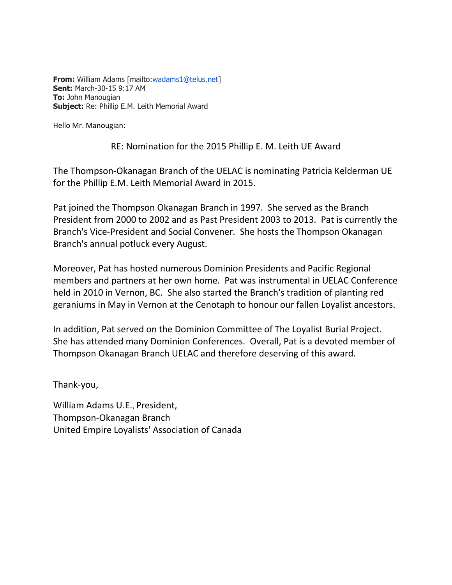**From:** William Adams [mailto[:wadams1@telus.net\]](mailto:wadams1@telus.net) **Sent:** March-30-15 9:17 AM **To:** John Manougian **Subject:** Re: Phillip E.M. Leith Memorial Award

Hello Mr. Manougian:

## RE: Nomination for the 2015 Phillip E. M. Leith UE Award

The Thompson-Okanagan Branch of the UELAC is nominating Patricia Kelderman UE for the Phillip E.M. Leith Memorial Award in 2015.

Pat joined the Thompson Okanagan Branch in 1997. She served as the Branch President from 2000 to 2002 and as Past President 2003 to 2013. Pat is currently the Branch's Vice-President and Social Convener. She hosts the Thompson Okanagan Branch's annual potluck every August.

Moreover, Pat has hosted numerous Dominion Presidents and Pacific Regional members and partners at her own home. Pat was instrumental in UELAC Conference held in 2010 in Vernon, BC. She also started the Branch's tradition of planting red geraniums in May in Vernon at the Cenotaph to honour our fallen Loyalist ancestors.

In addition, Pat served on the Dominion Committee of The Loyalist Burial Project. She has attended many Dominion Conferences. Overall, Pat is a devoted member of Thompson Okanagan Branch UELAC and therefore deserving of this award.

Thank-you,

William Adams U.E., President, Thompson-Okanagan Branch United Empire Loyalists' Association of Canada